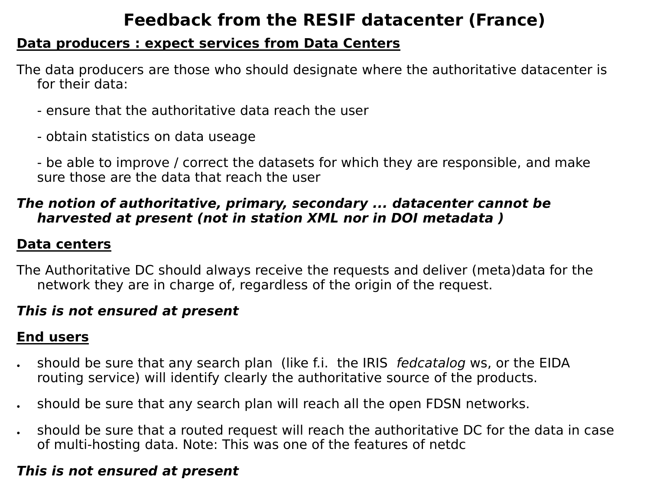# **Feedback from the RESIF datacenter (France)**

#### **Data producers : expect services from Data Centers**

The data producers are those who should designate where the authoritative datacenter is for their data:

- ensure that the authoritative data reach the user
- obtain statistics on data useage

- be able to improve / correct the datasets for which they are responsible, and make sure those are the data that reach the user

#### *The notion of authoritative, primary, secondary ... datacenter cannot be harvested at present (not in station XML nor in DOI metadata )*

#### **Data centers**

The Authoritative DC should always receive the requests and deliver (meta)data for the network they are in charge of, regardless of the origin of the request.

#### *This is not ensured at present*

## **End users**

- should be sure that any search plan (like f.i. the IRIS *fedcatalog* ws, or the EIDA routing service) will identify clearly the authoritative source of the products.
- should be sure that any search plan will reach all the open FDSN networks.
- should be sure that a routed request will reach the authoritative DC for the data in case of multi-hosting data. Note: This was one of the features of netdc

#### *This is not ensured at present*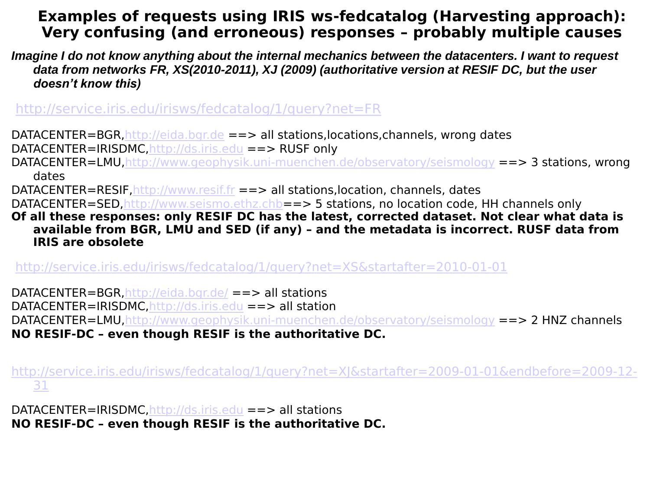### **Examples of requests using IRIS ws-fedcatalog (Harvesting approach): Very confusing (and erroneous) responses – probably multiple causes**

*Imagine I do not know anything about the internal mechanics between the datacenters. I want to request data from networks FR, XS(2010-2011), XJ (2009) (authoritative version at RESIF DC, but the user doesn't know this)*

<http://service.iris.edu/irisws/fedcatalog/1/query?net=FR>

DATACENTER=BGR[,http://eida.bgr.de](http://eida.bgr.de/) ==> all stations,locations,channels, wrong dates DATACENTER=IRISDMC,[http://ds.iris.edu](http://ds.iris.edu/) ==> RUSF only

DATACENTER=LMU,<http://www.geophysik.uni-muenchen.de/observatory/seismology> ==> 3 stations, wrong dates

DATACENTER=RESIF[,http://www.resif.fr](http://www.resif.fr/) ==> all stations,location, channels, dates

DATACENTER=SED,[http://www.seismo.ethz.chb](http://www.seismo.ethz.chb/)==> 5 stations, no location code, HH channels only

**Of all these responses: only RESIF DC has the latest, corrected dataset. Not clear what data is available from BGR, LMU and SED (if any) – and the metadata is incorrect. RUSF data from IRIS are obsolete**

<http://service.iris.edu/irisws/fedcatalog/1/query?net=XS&startafter=2010-01-01>

DATACENTER=BGR[,http://eida.bgr.de/](http://eida.bgr.de/) ==> all stations

DATACENTER=IRISDMC,[http://ds.iris.edu](http://ds.iris.edu/) ==> all station

DATACENTER=LMU,<http://www.geophysik.uni-muenchen.de/observatory/seismology> ==> 2 HNZ channels **NO RESIF-DC – even though RESIF is the authoritative DC.** 

[http://service.iris.edu/irisws/fedcatalog/1/query?net=XJ&startafter=2009-01-01&endbefore=2009-12-](http://service.iris.edu/irisws/fedcatalog/1/query?net=XJ&startafter=2009-01-01&endbefore=2009-12-31) [31](http://service.iris.edu/irisws/fedcatalog/1/query?net=XJ&startafter=2009-01-01&endbefore=2009-12-31)

DATACENTER=IRISDMC,[http://ds.iris.edu](http://ds.iris.edu/) ==> all stations **NO RESIF-DC – even though RESIF is the authoritative DC.**